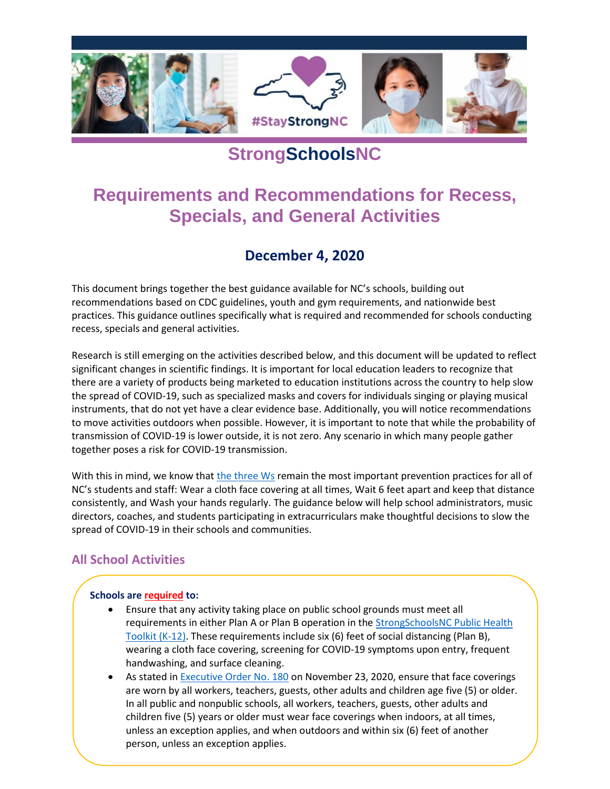

# **StrongSchoolsNC**

# **Requirements and Recommendations for Recess, Specials, and General Activities**

## **December 4, 2020**

This document brings together the best guidance available for NC's schools, building out recommendations based on CDC guidelines, youth and gym requirements, and nationwide best practices. This guidance outlines specifically what is required and recommended for schools conducting recess, specials and general activities.

Research is still emerging on the activities described below, and this document will be updated to reflect significant changes in scientific findings. It is important for local education leaders to recognize that there are a variety of products being marketed to education institutions across the country to help slow the spread of COVID-19, such as specialized masks and covers for individuals singing or playing musical instruments, that do not yet have a clear evidence base. Additionally, you will notice recommendations to move activities outdoors when possible. However, it is important to note that while the probability of transmission of COVID-19 is lower outside, it is not zero. Any scenario in which many people gather together poses a risk for COVID-19 transmission.

With this in mind, we know that [the three Ws](https://covid19.ncdhhs.gov/materials-resources/know-your-ws-wear-wait-wash) remain the most important prevention practices for all of NC's students and staff: Wear a cloth face covering at all times, Wait 6 feet apart and keep that distance consistently, and Wash your hands regularly. The guidance below will help school administrators, music directors, coaches, and students participating in extracurriculars make thoughtful decisions to slow the spread of COVID-19 in their schools and communities.

## **All School Activities**

.

#### **Schools are [required](https://files.nc.gov/covid/documents/guidance/Strong-Schools-NC-Public-Health-Toolkit.pdf) to:**

- Ensure that any activity taking place on public school grounds must meet all requirements in either Plan A or Plan B operation in the [StrongSchoolsNC Public Health](https://files.nc.gov/covid/documents/guidance/Strong-Schools-NC-Public-Health-Toolkit.pdf)  [Toolkit \(K-12\).](https://files.nc.gov/covid/documents/guidance/Strong-Schools-NC-Public-Health-Toolkit.pdf) These requirements include six (6) feet of social distancing (Plan B), wearing a cloth face covering, screening for COVID-19 symptoms upon entry, frequent handwashing, and surface cleaning.
- As stated in [Executive Order No. 180](https://files.nc.gov/governor/documents/files/EO180-Face-Coverings-Requirements.pdf) on November 23, 2020, ensure that face coverings are worn by all workers, teachers, guests, other adults and children age five (5) or older. In all public and nonpublic schools, all workers, teachers, guests, other adults and children five (5) years or older must wear face coverings when indoors, at all times, unless an exception applies, and when outdoors and within six (6) feet of another person, unless an exception applies.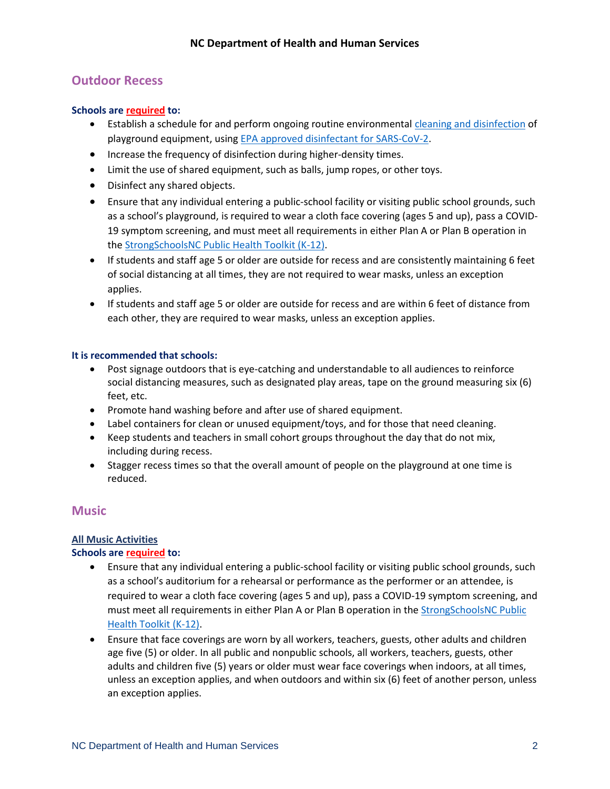## **Outdoor Recess**

#### **Schools ar[e required](https://files.nc.gov/covid/documents/guidance/Strong-Schools-NC-Public-Health-Toolkit.pdf) to:**

- Establish a schedule for and perform ongoing routine environmental [cleaning and](https://www.cdc.gov/flu/school/cleaning.htm) disinfection of playground equipment, usin[g EPA approved disinfectant for SARS-CoV-2.](https://www.epa.gov/pesticide-registration/list-n-disinfectants-coronavirus-covid-19)
- Increase the frequency of disinfection during higher-density times.
- Limit the use of shared equipment, such as balls, jump ropes, or other toys.
- Disinfect any shared objects.
- Ensure that any individual entering a public-school facility or visiting public school grounds, such as a school's playground, is required to wear a cloth face covering (ages 5 and up), pass a COVID-19 symptom screening, and must meet all requirements in either Plan A or Plan B operation in th[e StrongSchoolsNC Public Health Toolkit \(K-12\).](https://files.nc.gov/covid/documents/guidance/Strong-Schools-NC-Public-Health-Toolkit.pdf)
- If students and staff age 5 or older are outside for recess and are consistently maintaining 6 feet of social distancing at all times, they are not required to wear masks, unless an exception applies.
- If students and staff age 5 or older are outside for recess and are within 6 feet of distance from each other, they are required to wear masks, unless an exception applies.

#### **It is recommended that schools:**

- Post signage outdoors that is eye-catching and understandable to all audiences to reinforce social distancing measures, such as designated play areas, tape on the ground measuring six (6) feet, etc.
- Promote hand washing before and after use of shared equipment.
- Label containers for clean or unused equipment/toys, and for those that need cleaning.
- Keep students and teachers in small cohort groups throughout the day that do not mix, including during recess.
- Stagger recess times so that the overall amount of people on the playground at one time is reduced.

#### **Music**

#### **All Music Activities**

#### **Schools ar[e required](https://files.nc.gov/covid/documents/guidance/Strong-Schools-NC-Public-Health-Toolkit.pdf) to:**

- Ensure that any individual entering a public-school facility or visiting public school grounds, such as a school's auditorium for a rehearsal or performance as the performer or an attendee, is required to wear a cloth face covering (ages 5 and up), pass a COVID-19 symptom screening, and must meet all requirements in either Plan A or Plan B operation in th[e StrongSchoolsNC Public](https://files.nc.gov/covid/documents/guidance/Strong-Schools-NC-Public-Health-Toolkit.pdf)  [Health Toolkit \(K-12\).](https://files.nc.gov/covid/documents/guidance/Strong-Schools-NC-Public-Health-Toolkit.pdf)
- Ensure that face coverings are worn by all workers, teachers, guests, other adults and children age five (5) or older. In all public and nonpublic schools, all workers, teachers, guests, other adults and children five (5) years or older must wear face coverings when indoors, at all times, unless an exception applies, and when outdoors and within six (6) feet of another person, unless an exception applies.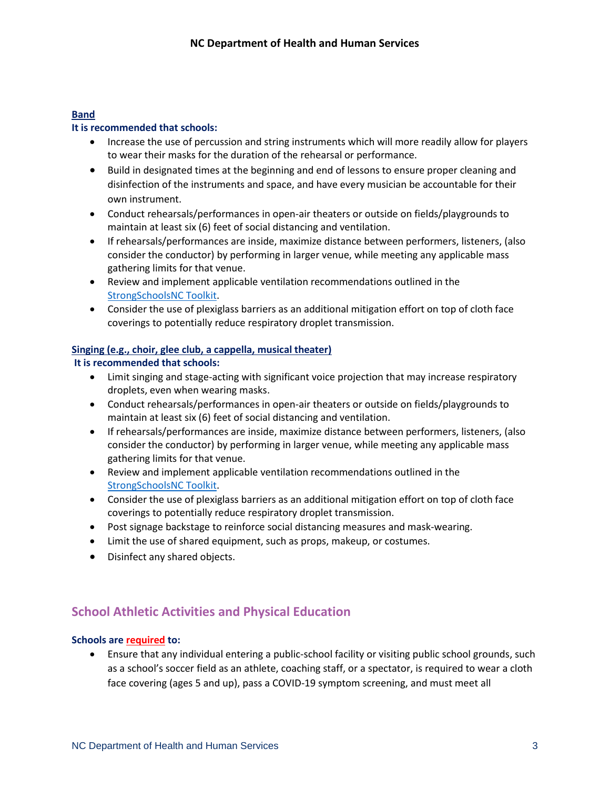#### **Band**

#### **It is recommended that schools:**

- Increase the use of percussion and string instruments which will more readily allow for players to wear their masks for the duration of the rehearsal or performance.
- Build in designated times at the beginning and end of lessons to ensure proper cleaning and disinfection of the instruments and space, and have every musician be accountable for their own instrument.
- Conduct rehearsals/performances in open-air theaters or outside on fields/playgrounds to maintain at least six (6) feet of social distancing and ventilation.
- If rehearsals/performances are inside, maximize distance between performers, listeners, (also consider the conductor) by performing in larger venue, while meeting any applicable mass gathering limits for that venue.
- Review and implement applicable ventilation recommendations outlined in the [StrongSchoolsNC Toolkit.](https://files.nc.gov/covid/documents/guidance/Strong-Schools-NC-Public-Health-Toolkit.pdf)
- Consider the use of plexiglass barriers as an additional mitigation effort on top of cloth face coverings to potentially reduce respiratory droplet transmission.

#### **Singing (e.g., choir, glee club, a cappella, musical theater)**

#### **It is recommended that schools:**

- Limit singing and stage-acting with significant voice projection that may increase respiratory droplets, even when wearing masks.
- Conduct rehearsals/performances in open-air theaters or outside on fields/playgrounds to maintain at least six (6) feet of social distancing and ventilation.
- If rehearsals/performances are inside, maximize distance between performers, listeners, (also consider the conductor) by performing in larger venue, while meeting any applicable mass gathering limits for that venue.
- Review and implement applicable ventilation recommendations outlined in the [StrongSchoolsNC Toolkit.](https://files.nc.gov/covid/documents/guidance/Strong-Schools-NC-Public-Health-Toolkit.pdf)
- Consider the use of plexiglass barriers as an additional mitigation effort on top of cloth face coverings to potentially reduce respiratory droplet transmission.
- Post signage backstage to reinforce social distancing measures and mask-wearing.
- Limit the use of shared equipment, such as props, makeup, or costumes.
- Disinfect any shared objects.

### **School Athletic Activities and Physical Education**

#### **Schools are required to:**

• Ensure that any individual entering a public-school facility or visiting public school grounds, such as a school's soccer field as an athlete, coaching staff, or a spectator, is required to wear a cloth face covering (ages 5 and up), pass a COVID-19 symptom screening, and must meet all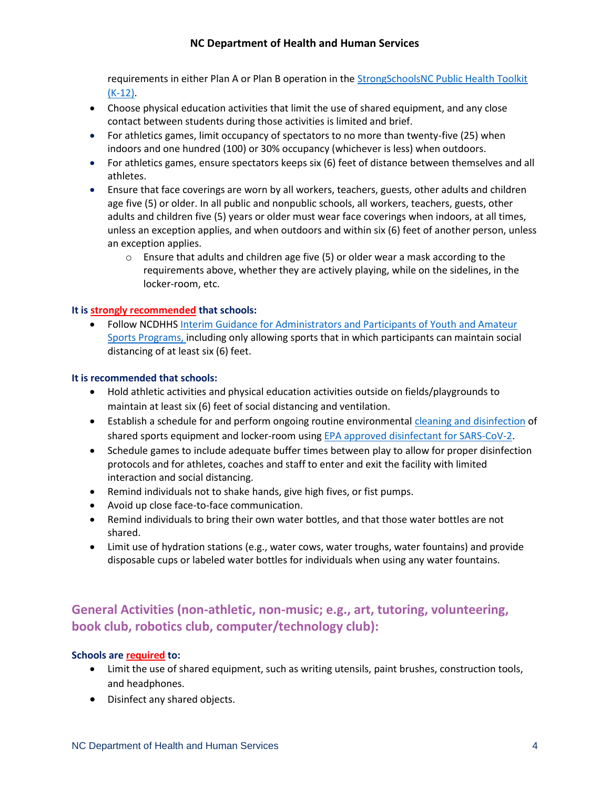#### **NC Department of Health and Human Services**

requirements in either Plan A or Plan B operation in the [StrongSchoolsNC Public Health Toolkit](https://files.nc.gov/covid/documents/guidance/Strong-Schools-NC-Public-Health-Toolkit.pdf)  [\(K-12\).](https://files.nc.gov/covid/documents/guidance/Strong-Schools-NC-Public-Health-Toolkit.pdf)

- Choose physical education activities that limit the use of shared equipment, and any close contact between students during those activities is limited and brief.
- For athletics games, limit occupancy of spectators to no more than twenty-five (25) when indoors and one hundred (100) or 30% occupancy (whichever is less) when outdoors.
- For athletics games, ensure spectators keeps six (6) feet of distance between themselves and all athletes.
- Ensure that face coverings are worn by all workers, teachers, guests, other adults and children age five (5) or older. In all public and nonpublic schools, all workers, teachers, guests, other adults and children five (5) years or older must wear face coverings when indoors, at all times, unless an exception applies, and when outdoors and within six (6) feet of another person, unless an exception applies.
	- $\circ$  Ensure that adults and children age five (5) or older wear a mask according to the requirements above, whether they are actively playing, while on the sidelines, in the locker-room, etc.

#### **It is strongly recommended that schools:**

• Follow NCDHHS [Interim Guidance for Administrators and Participants of Youth and Amateur](https://files.nc.gov/covid/documents/guidance/NCDHHS-Interim-Guidance-for-Youth-Amateur-Sports.pdf)  [Sports Programs,](https://files.nc.gov/covid/documents/guidance/NCDHHS-Interim-Guidance-for-Youth-Amateur-Sports.pdf) including only allowing sports that in which participants can maintain social distancing of at least six (6) feet.

#### **It is recommended that schools:**

- Hold athletic activities and physical education activities outside on fields/playgrounds to maintain at least six (6) feet of social distancing and ventilation.
- Establish a schedule for and perform ongoing routine environmental [cleaning and disinfection](https://www.cdc.gov/flu/school/cleaning.htm) of shared sports equipment and locker-room usin[g EPA approved disinfectant for SARS-CoV-2.](https://www.epa.gov/pesticide-registration/list-n-disinfectants-coronavirus-covid-19)
- Schedule games to include adequate buffer times between play to allow for proper disinfection protocols and for athletes, coaches and staff to enter and exit the facility with limited interaction and social distancing.
- Remind individuals not to shake hands, give high fives, or fist pumps.
- Avoid up close face-to-face communication.
- Remind individuals to bring their own water bottles, and that those water bottles are not shared.
- Limit use of hydration stations (e.g., water cows, water troughs, water fountains) and provide disposable cups or labeled water bottles for individuals when using any water fountains.

## **General Activities (non-athletic, non-music; e.g., art, tutoring, volunteering, book club, robotics club, computer/technology club):**

#### **Schools are required to:**

- Limit the use of shared equipment, such as writing utensils, paint brushes, construction tools, and headphones.
- Disinfect any shared objects.